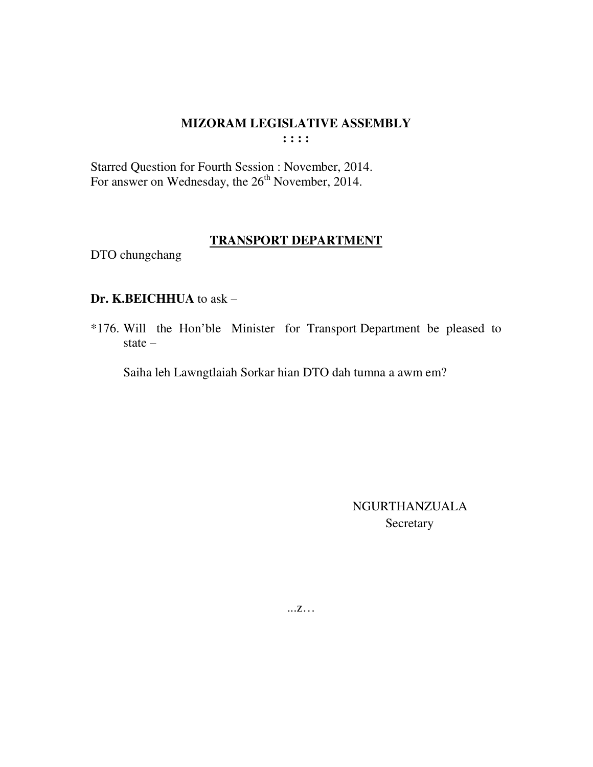$\cdots$ 

Starred Question for Fourth Session : November, 2014. For answer on Wednesday, the 26<sup>th</sup> November, 2014.

### **TRANSPORT DEPARTMENT**

DTO chungchang

#### Dr. K.BEICHHUA to ask -

\*176. Will the Hon'ble Minister for Transport Department be pleased to state  $-$ 

Saiha leh Lawngtlaiah Sorkar hian DTO dah tumna a awm em?

**NGURTHANZUALA** Secretary

 $\dots Z\dots$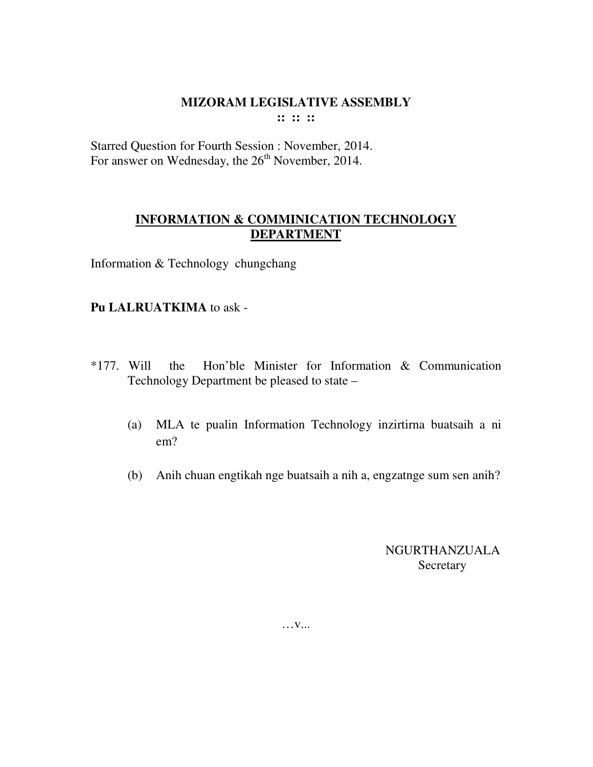**:: :: ::** 

Starred Question for Fourth Session : November, 2014. For answer on Wednesday, the 26<sup>th</sup> November, 2014.

# **INFORMATION & COMMINICATION TECHNOLOGY DEPARTMENT**

Information & Technology chungchang

## **Pu LALRUATKIMA** to ask -

- \*177. Will the Hon'ble Minister for Information & Communication Technology Department be pleased to state –
	- (a) MLA te pualin Information Technology inzirtirna buatsaih a ni em?
	- (b) Anih chuan engtikah nge buatsaih a nih a, engzatnge sum sen anih?

NGURTHANZUALA Secretary

… **v...**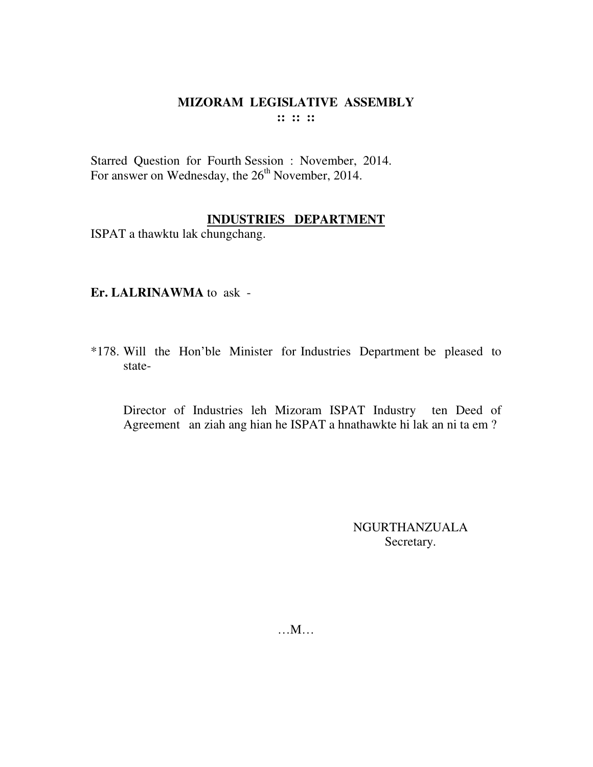# MIZORAM LEGISLATIVE ASSEMBLY  $\mathbb{R}^n \times \mathbb{R}^n$

Starred Question for Fourth Session : November, 2014. For answer on Wednesday, the 26<sup>th</sup> November, 2014.

## **INDUSTRIES DEPARTMENT**

ISPAT a thawktu lak chungchang.

Er. LALRINAWMA to ask -

\*178. Will the Hon'ble Minister for Industries Department be pleased to state-

Director of Industries leh Mizoram ISPAT Industry ten Deed of Agreement an ziah ang hian he ISPAT a hnathawkte hi lak an ni ta em?

> NGURTHANZUALA Secretary.

 $...M...$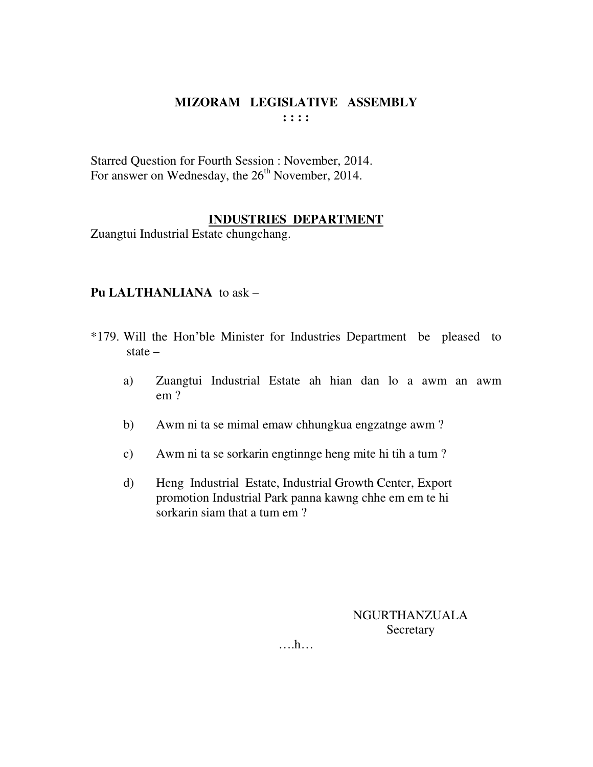Starred Question for Fourth Session : November, 2014. For answer on Wednesday, the  $26<sup>th</sup>$  November, 2014.

## **INDUSTRIES DEPARTMENT**

Zuangtui Industrial Estate chungchang.

## **Pu LALTHANLIANA** to ask –

- \*179. Will the Hon'ble Minister for Industries Department be pleased to state –
	- a) Zuangtui Industrial Estate ah hian dan lo a awm an awm em ?
	- b) Awm ni ta se mimal emaw chhungkua engzatnge awm ?
	- c) Awm ni ta se sorkarin engtinnge heng mite hi tih a tum ?
	- d) Heng Industrial Estate, Industrial Growth Center, Export promotion Industrial Park panna kawng chhe em em te hi sorkarin siam that a tum em ?

NGURTHANZUALA **Secretary** 

….h…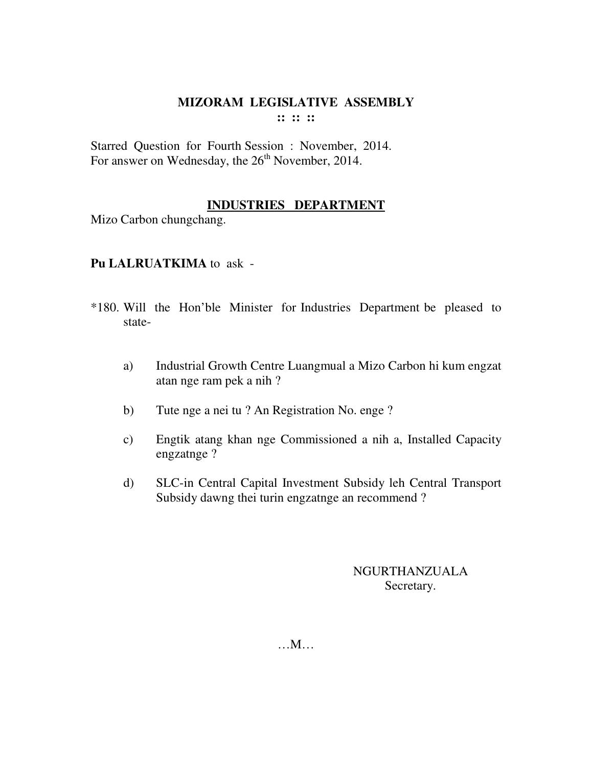Starred Question for Fourth Session : November, 2014. For answer on Wednesday, the  $26<sup>th</sup>$  November, 2014.

### **INDUSTRIES DEPARTMENT**

Mizo Carbon chungchang.

### **Pu LALRUATKIMA** to ask -

- \*180. Will the Hon'ble Minister for Industries Department be pleased to state
	- a) Industrial Growth Centre Luangmual a Mizo Carbon hi kum engzat atan nge ram pek a nih ?
	- b) Tute nge a nei tu ? An Registration No. enge ?
	- c) Engtik atang khan nge Commissioned a nih a, Installed Capacity engzatnge ?
	- d) SLC-in Central Capital Investment Subsidy leh Central Transport Subsidy dawng thei turin engzatnge an recommend ?

# NGURTHANZUALA Secretary.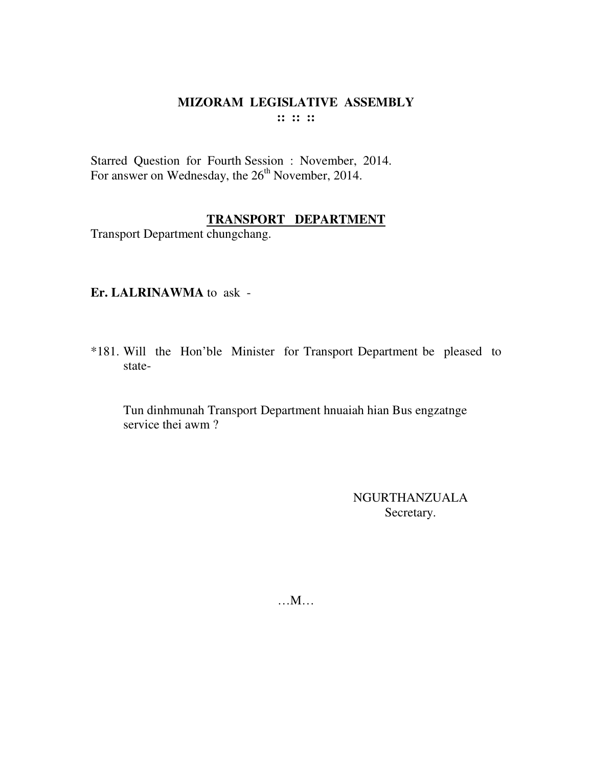# MIZORAM LEGISLATIVE ASSEMBLY  $\mathbb{R}^n \times \mathbb{R}^n$

Starred Question for Fourth Session : November, 2014. For answer on Wednesday, the 26<sup>th</sup> November, 2014.

# **TRANSPORT DEPARTMENT**

Transport Department chungchang.

## Er. LALRINAWMA to ask -

\*181. Will the Hon'ble Minister for Transport Department be pleased to state-

Tun dinhmunah Transport Department hnuaiah hian Bus engzatnge service thei awm?

> **NGURTHANZUALA** Secretary.

 $...M...$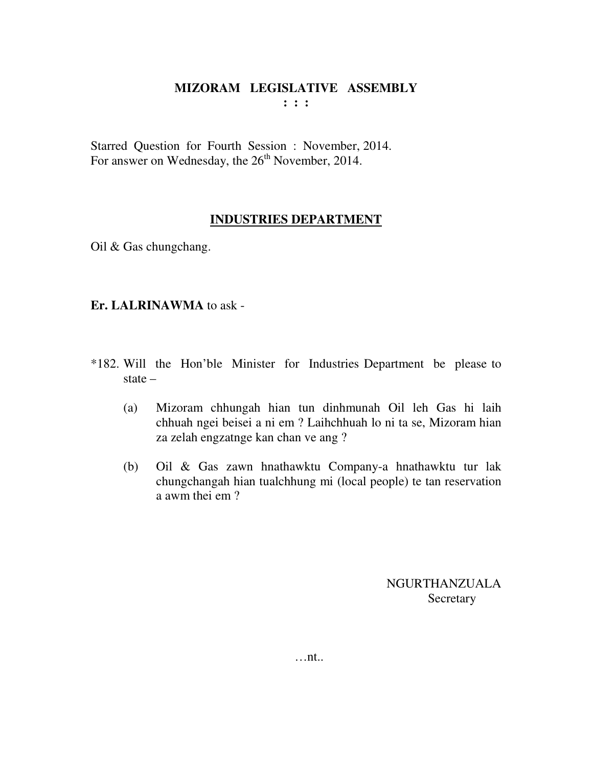Starred Question for Fourth Session : November, 2014. For answer on Wednesday, the  $26<sup>th</sup>$  November, 2014.

# **INDUSTRIES DEPARTMENT**

Oil & Gas chungchang.

# **Er. LALRINAWMA** to ask -

- \*182. Will the Hon'ble Minister for Industries Department be please to state –
	- (a) Mizoram chhungah hian tun dinhmunah Oil leh Gas hi laih chhuah ngei beisei a ni em ? Laihchhuah lo ni ta se, Mizoram hian za zelah engzatnge kan chan ve ang ?
	- (b) Oil & Gas zawn hnathawktu Company-a hnathawktu tur lak chungchangah hian tualchhung mi (local people) te tan reservation a awm thei em ?

NGURTHANZUALA **Secretary**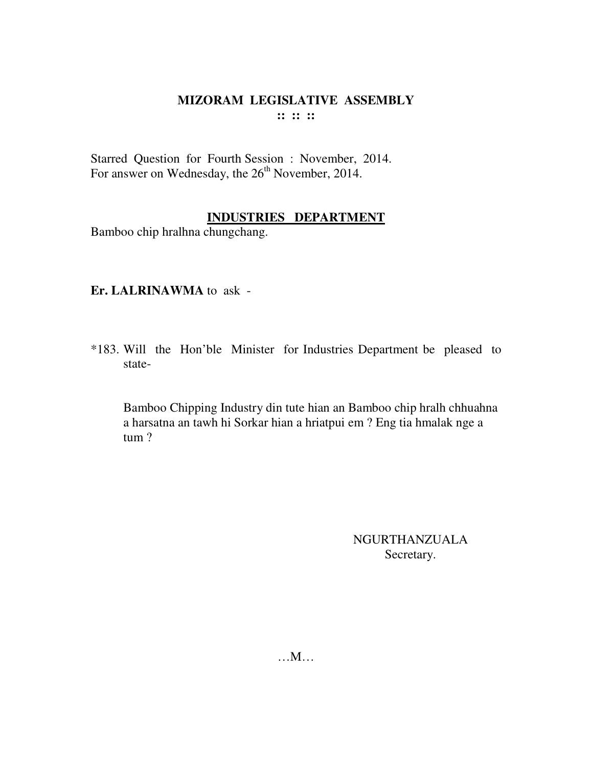Starred Question for Fourth Session : November, 2014. For answer on Wednesday, the 26<sup>th</sup> November, 2014.

# **INDUSTRIES DEPARTMENT**

Bamboo chip hralhna chungchang.

### **Er. LALRINAWMA** to ask -

\*183. Will the Hon'ble Minister for Industries Department be pleased to state-

 Bamboo Chipping Industry din tute hian an Bamboo chip hralh chhuahna a harsatna an tawh hi Sorkar hian a hriatpui em ? Eng tia hmalak nge a tum ?

> NGURTHANZUALA Secretary.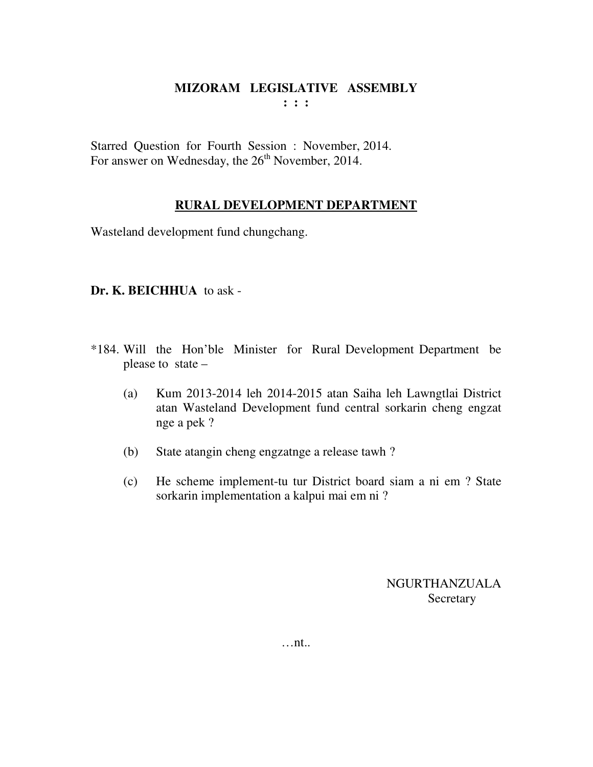Starred Question for Fourth Session : November, 2014. For answer on Wednesday, the  $26<sup>th</sup>$  November, 2014.

### **RURAL DEVELOPMENT DEPARTMENT**

Wasteland development fund chungchang.

### **Dr. K. BEICHHUA** to ask -

- \*184. Will the Hon'ble Minister for Rural Development Department be please to state –
	- (a) Kum 2013-2014 leh 2014-2015 atan Saiha leh Lawngtlai District atan Wasteland Development fund central sorkarin cheng engzat nge a pek ?
	- (b) State atangin cheng engzatnge a release tawh ?
	- (c) He scheme implement-tu tur District board siam a ni em ? State sorkarin implementation a kalpui mai em ni ?

NGURTHANZUALA Secretary

…nt..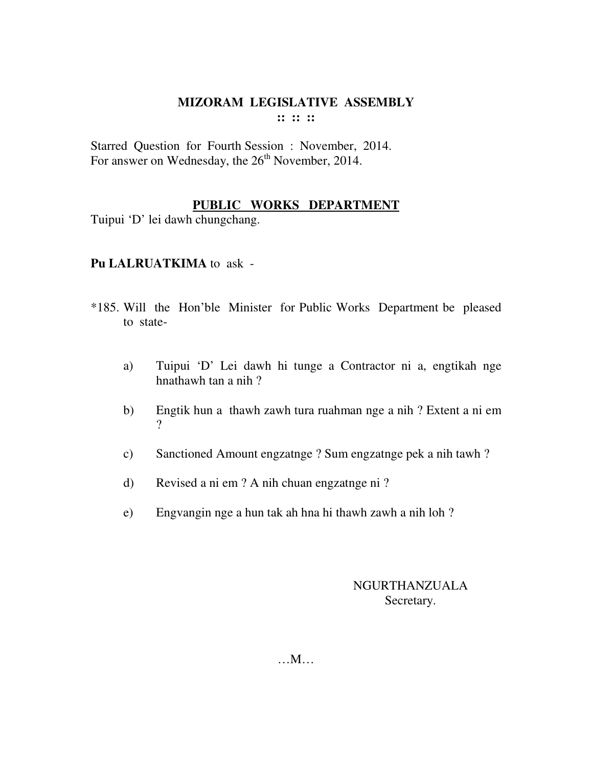Starred Question for Fourth Session : November, 2014. For answer on Wednesday, the  $26<sup>th</sup>$  November, 2014.

## **PUBLIC WORKS DEPARTMENT**

Tuipui 'D' lei dawh chungchang.

### **Pu LALRUATKIMA** to ask -

- \*185. Will the Hon'ble Minister for Public Works Department be pleased to state
	- a) Tuipui 'D' Lei dawh hi tunge a Contractor ni a, engtikah nge hnathawh tan a nih ?
	- b) Engtik hun a thawh zawh tura ruahman nge a nih ? Extent a ni em ?
	- c) Sanctioned Amount engzatnge ? Sum engzatnge pek a nih tawh ?
	- d) Revised a ni em ? A nih chuan engzatnge ni ?
	- e) Engvangin nge a hun tak ah hna hi thawh zawh a nih loh ?

### NGURTHANZUALA Secretary.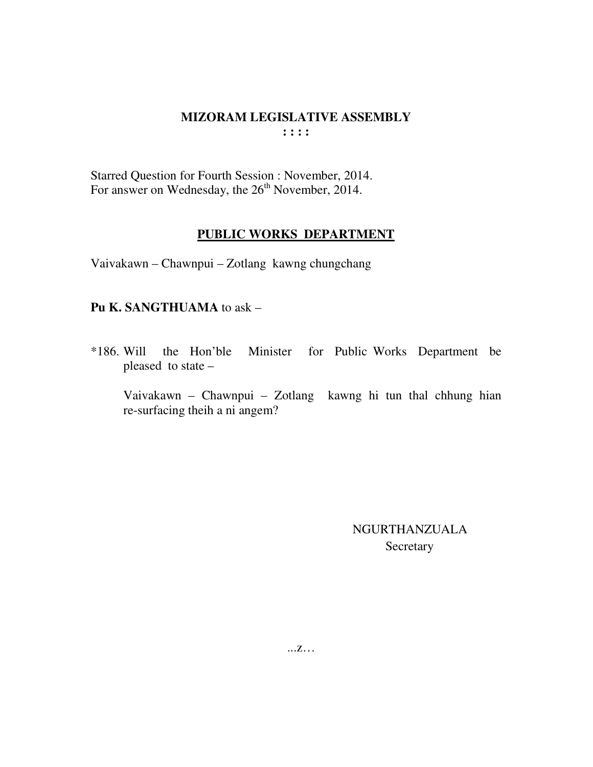Starred Question for Fourth Session : November, 2014. For answer on Wednesday, the 26<sup>th</sup> November, 2014.

#### **PUBLIC WORKS DEPARTMENT**

Vaivakawn – Chawnpui – Zotlang kawng chungchang

#### **Pu K. SANGTHUAMA** to ask –

\*186. Will the Hon'ble Minister for Public Works Department be pleased to state –

 Vaivakawn – Chawnpui – Zotlang kawng hi tun thal chhung hian re-surfacing theih a ni angem?

> NGURTHANZUALA Secretary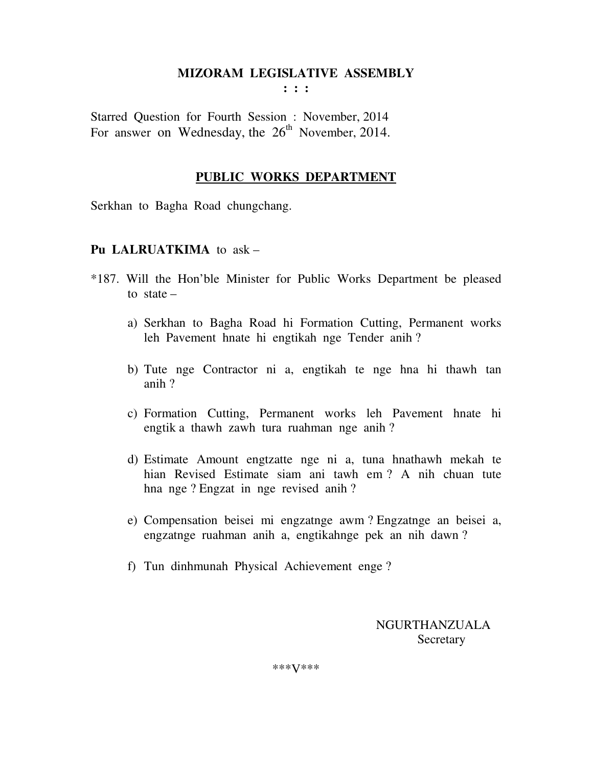**: : :** 

Starred Question for Fourth Session : November, 2014 For answer on Wednesday, the  $26<sup>th</sup>$  November, 2014.

#### **PUBLIC WORKS DEPARTMENT**

Serkhan to Bagha Road chungchang.

#### **Pu LALRUATKIMA** to ask –

- \*187. Will the Hon'ble Minister for Public Works Department be pleased to state  $$ 
	- a) Serkhan to Bagha Road hi Formation Cutting, Permanent works leh Pavement hnate hi engtikah nge Tender anih ?
	- b) Tute nge Contractor ni a, engtikah te nge hna hi thawh tan anih ?
	- c) Formation Cutting, Permanent works leh Pavement hnate hi engtik a thawh zawh tura ruahman nge anih ?
	- d) Estimate Amount engtzatte nge ni a, tuna hnathawh mekah te hian Revised Estimate siam ani tawh em ? A nih chuan tute hna nge ? Engzat in nge revised anih ?
	- e) Compensation beisei mi engzatnge awm ? Engzatnge an beisei a, engzatnge ruahman anih a, engtikahnge pek an nih dawn ?
	- f) Tun dinhmunah Physical Achievement enge ?

 NGURTHANZUALA **Secretary** 

\*\*\*V\*\*\*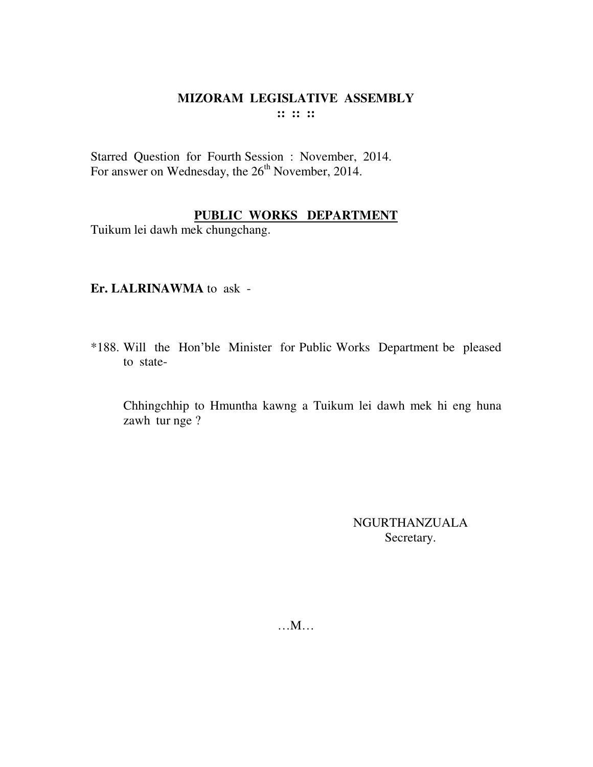Starred Question for Fourth Session : November, 2014. For answer on Wednesday, the 26<sup>th</sup> November, 2014.

# **PUBLIC WORKS DEPARTMENT**

Tuikum lei dawh mek chungchang.

### **Er. LALRINAWMA** to ask -

\*188. Will the Hon'ble Minister for Public Works Department be pleased to state-

 Chhingchhip to Hmuntha kawng a Tuikum lei dawh mek hi eng huna zawh tur nge ?

> NGURTHANZUALA Secretary.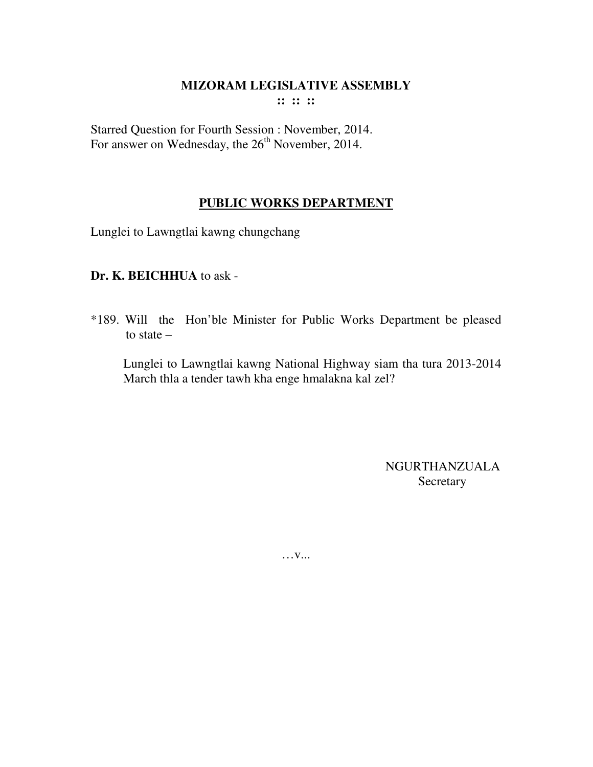**:: :: ::** 

Starred Question for Fourth Session : November, 2014. For answer on Wednesday, the  $26<sup>th</sup>$  November, 2014.

# **PUBLIC WORKS DEPARTMENT**

Lunglei to Lawngtlai kawng chungchang

# **Dr. K. BEICHHUA** to ask -

\*189. Will the Hon'ble Minister for Public Works Department be pleased to state –

 Lunglei to Lawngtlai kawng National Highway siam tha tura 2013-2014 March thla a tender tawh kha enge hmalakna kal zel?

> NGURTHANZUALA Secretary

… **v...**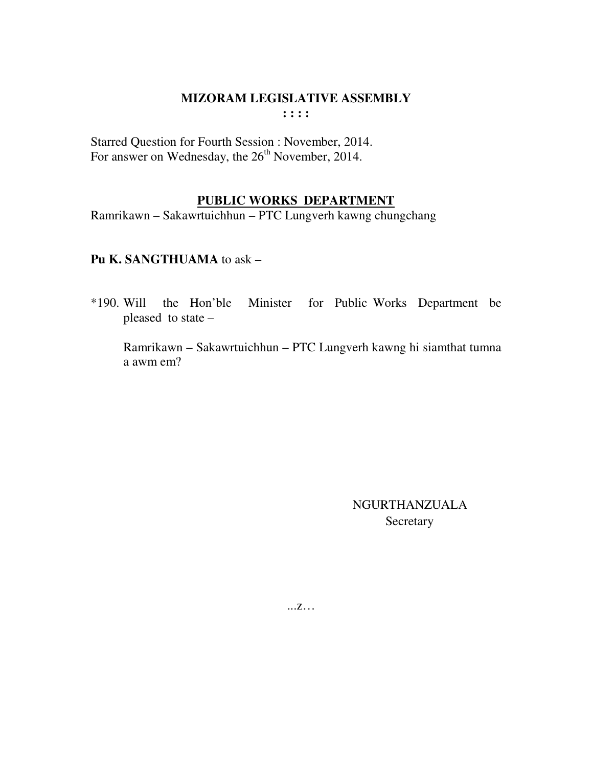Starred Question for Fourth Session : November, 2014. For answer on Wednesday, the  $26<sup>th</sup>$  November, 2014.

### **PUBLIC WORKS DEPARTMENT**

Ramrikawn – Sakawrtuichhun – PTC Lungverh kawng chungchang

### **Pu K. SANGTHUAMA** to ask –

\*190. Will the Hon'ble Minister for Public Works Department be pleased to state –

 Ramrikawn – Sakawrtuichhun – PTC Lungverh kawng hi siamthat tumna a awm em?

> NGURTHANZUALA Secretary

...z…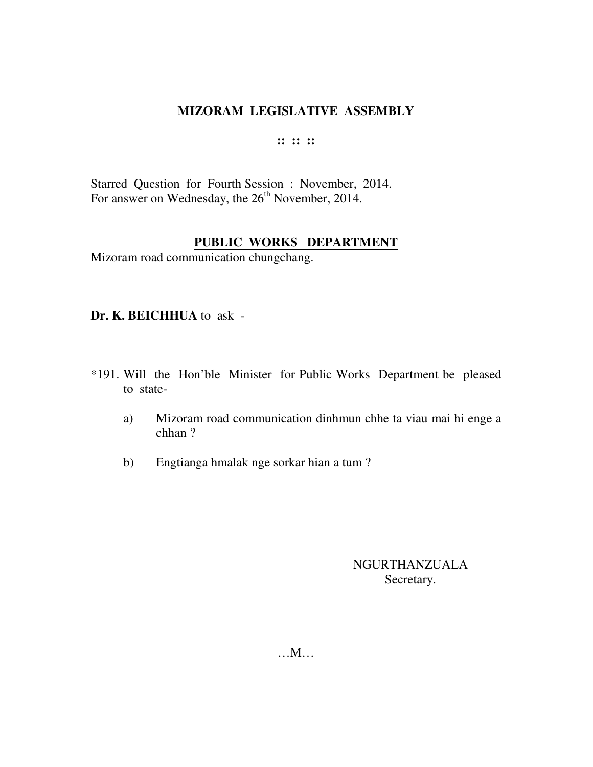#### **:: :: ::**

Starred Question for Fourth Session : November, 2014. For answer on Wednesday, the  $26<sup>th</sup>$  November, 2014.

## **PUBLIC WORKS DEPARTMENT**

Mizoram road communication chungchang.

**Dr. K. BEICHHUA** to ask -

- \*191. Will the Hon'ble Minister for Public Works Department be pleased to state
	- a) Mizoram road communication dinhmun chhe ta viau mai hi enge a chhan ?
	- b) Engtianga hmalak nge sorkar hian a tum ?

NGURTHANZUALA Secretary.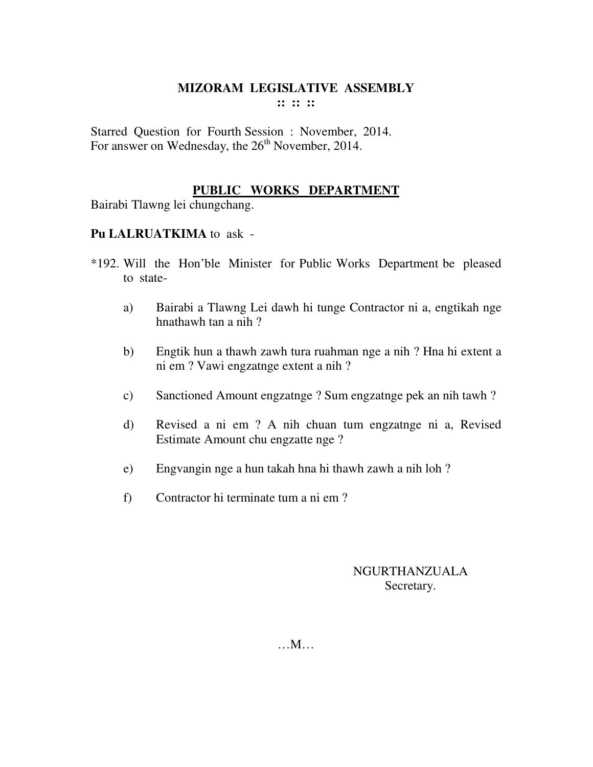Starred Question for Fourth Session : November, 2014. For answer on Wednesday, the  $26<sup>th</sup>$  November, 2014.

# **PUBLIC WORKS DEPARTMENT**

Bairabi Tlawng lei chungchang.

### **Pu LALRUATKIMA** to ask -

- \*192. Will the Hon'ble Minister for Public Works Department be pleased to state
	- a) Bairabi a Tlawng Lei dawh hi tunge Contractor ni a, engtikah nge hnathawh tan a nih ?
	- b) Engtik hun a thawh zawh tura ruahman nge a nih ? Hna hi extent a ni em ? Vawi engzatnge extent a nih ?
	- c) Sanctioned Amount engzatnge ? Sum engzatnge pek an nih tawh ?
	- d) Revised a ni em ? A nih chuan tum engzatnge ni a, Revised Estimate Amount chu engzatte nge ?
	- e) Engvangin nge a hun takah hna hi thawh zawh a nih loh ?
	- f) Contractor hi terminate tum a ni em ?

## NGURTHANZUALA Secretary.